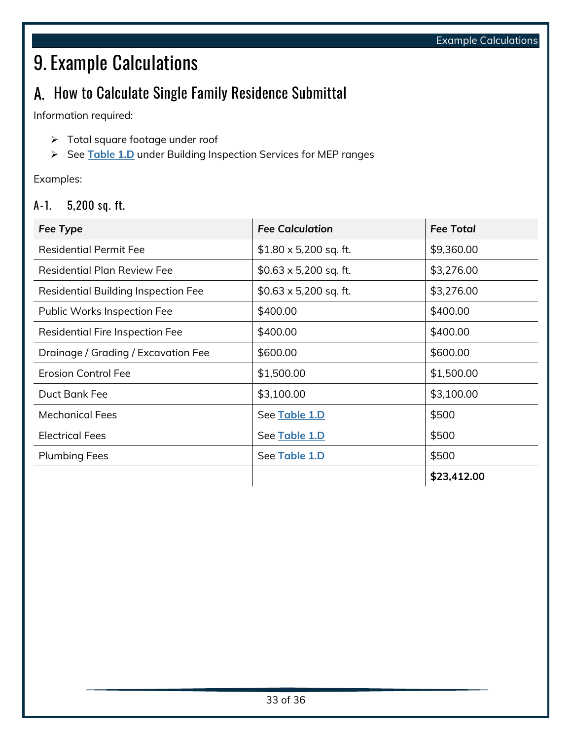# 9. Example Calculations

## A. How to Calculate Single Family Residence Submittal

Information required:

- ➢ Total square footage under roof
- ➢ See **Table 1.D** under Building Inspection Services for MEP ranges

Examples:

#### **A-1. 5,200 sq. ft.**

| Fee Type                                   | <b>Fee Calculation</b>       | <b>Fee Total</b> |
|--------------------------------------------|------------------------------|------------------|
| <b>Residential Permit Fee</b>              | $$1.80 \times 5,200$ sq. ft. | \$9,360.00       |
| <b>Residential Plan Review Fee</b>         | $$0.63 \times 5,200$ sq. ft. | \$3,276.00       |
| <b>Residential Building Inspection Fee</b> | $$0.63 \times 5,200$ sq. ft. | \$3,276.00       |
| Public Works Inspection Fee                | \$400.00                     | \$400.00         |
| <b>Residential Fire Inspection Fee</b>     | \$400.00                     | \$400.00         |
| Drainage / Grading / Excavation Fee        | \$600.00                     | \$600.00         |
| <b>Erosion Control Fee</b>                 | \$1,500.00                   | \$1,500.00       |
| Duct Bank Fee                              | \$3,100.00                   | \$3,100.00       |
| <b>Mechanical Fees</b>                     | See Table 1.D                | \$500            |
| <b>Electrical Fees</b>                     | See Table 1.D                | \$500            |
| <b>Plumbing Fees</b>                       | See Table 1.D                | \$500            |
|                                            |                              | \$23,412.00      |